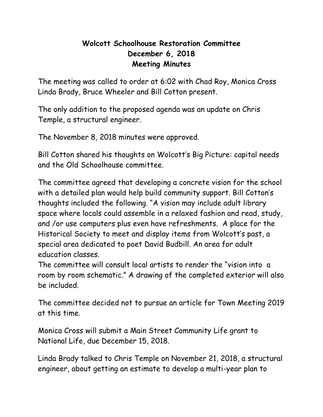## **Wolcott Schoolhouse Restoration Committee December 6, 2018 Meeting Minutes**

The meeting was called to order at 6:02 with Chad Roy, Monica Cross Linda Brady, Bruce Wheeler and Bill Cotton present.

The only addition to the proposed agenda was an update on Chris Temple, a structural engineer.

The November 8, 2018 minutes were approved.

Bill Cotton shared his thoughts on Wolcott's Big Picture: capital needs and the Old Schoolhouse committee.

The committee agreed that developing a concrete vision for the school with a detailed plan would help build community support. Bill Cotton's thoughts included the following. "A vision may include adult library space where locals could assemble in a relaxed fashion and read, study, and /or use computers plus even have refreshments. A place for the Historical Society to meet and display items from Wolcott's past, a special area dedicated to poet David Budbill. An area for adult education classes.

The committee will consult local artists to render the "vision into a room by room schematic." A drawing of the completed exterior will also be included.

The committee decided not to pursue an article for Town Meeting 2019 at this time.

Monica Cross will submit a Main Street Community Life grant to National Life, due December 15, 2018.

Linda Brady talked to Chris Temple on November 21, 2018, a structural engineer, about getting an estimate to develop a multi-year plan to